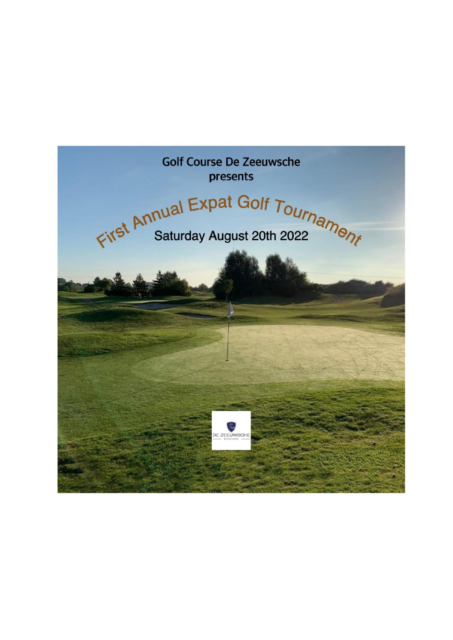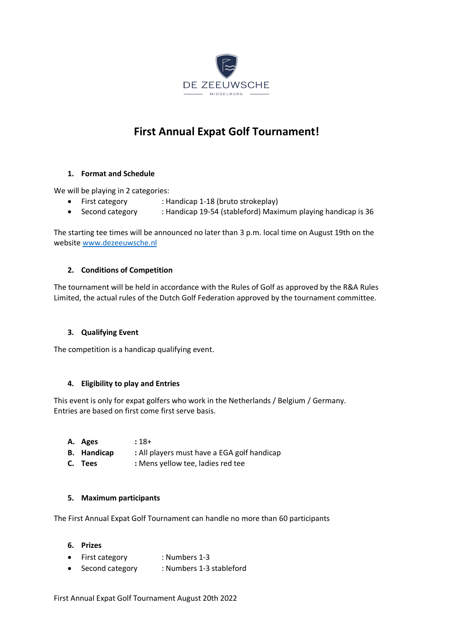

# **First Annual Expat Golf Tournament!**

## **1. Format and Schedule**

We will be playing in 2 categories:

- First category : Handicap 1-18 (bruto strokeplay)
- Second category : Handicap 19-54 (stableford) Maximum playing handicap is 36

The starting tee times will be announced no later than 3 p.m. local time on August 19th on the websit[e www.dezeeuwsche.nl](http://www.dezeeuwsche.nl/)

## **2. Conditions of Competition**

The tournament will be held in accordance with the Rules of Golf as approved by the R&A Rules Limited, the actual rules of the Dutch Golf Federation approved by the tournament committee.

## **3. Qualifying Event**

The competition is a handicap qualifying event.

## **4. Eligibility to play and Entries**

This event is only for expat golfers who work in the Netherlands / Belgium / Germany. Entries are based on first come first serve basis.

- **A. Ages :** 18+
- **B. Handicap :** All players must have a EGA golf handicap
- **C. Tees :** Mens yellow tee, ladies red tee

## **5. Maximum participants**

The First Annual Expat Golf Tournament can handle no more than 60 participants

## **6. Prizes**

- First category : Numbers 1-3
- Second category : Numbers 1-3 stableford

First Annual Expat Golf Tournament August 20th 2022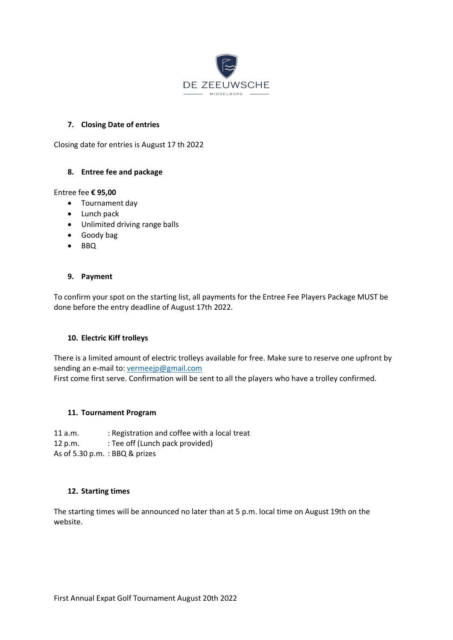

## **7. Closing Date of entries**

Closing date for entries is August 17 th 2022

## **8. Entree fee and package**

## Entree fee **€ 95,00**

- Tournament day
- Lunch pack
- Unlimited driving range balls
- Goody bag
- BBQ

## **9. Payment**

To confirm your spot on the starting list, all payments for the Entree Fee Players Package MUST be done before the entry deadline of August 17th 2022.

## **10. Electric Kiff trolleys**

There is a limited amount of electric trolleys available for free. Make sure to reserve one upfront by sending an e-mail to: [vermeejp@gmail.com](mailto:vermeejp@gmail.com) First come first serve. Confirmation will be sent to all the players who have a trolley confirmed.

## **11. Tournament Program**

11 a.m. : Registration and coffee with a local treat 12 p.m. : Tee off (Lunch pack provided) As of 5.30 p.m. : BBQ & prizes

## **12. Starting times**

The starting times will be announced no later than at 5 p.m. local time on August 19th on the website.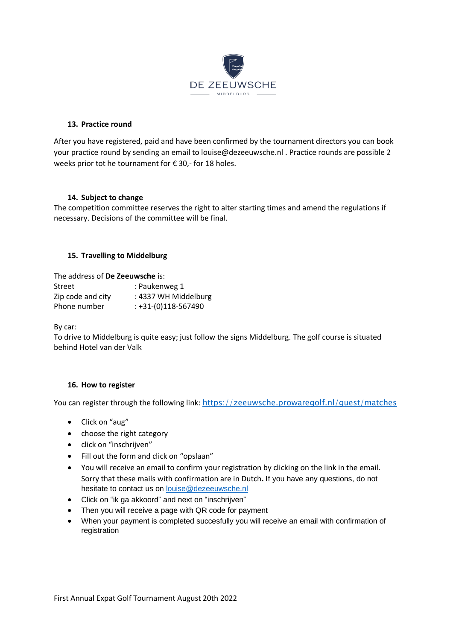

## **13. Practice round**

After you have registered, paid and have been confirmed by the tournament directors you can book your practice round by sending an email to louise@dezeeuwsche.nl . Practice rounds are possible 2 weeks prior tot he tournament for €30,- for 18 holes.

## **14. Subject to change**

The competition committee reserves the right to alter starting times and amend the regulations if necessary. Decisions of the committee will be final.

## **15. Travelling to Middelburg**

The address of **De Zeeuwsche** is:

| Street            | : Paukenweg 1         |
|-------------------|-----------------------|
| Zip code and city | : 4337 WH Middelburg  |
| Phone number      | $: +31-(0)118-567490$ |

By car:

To drive to Middelburg is quite easy; just follow the signs Middelburg. The golf course is situated behind Hotel van der Valk

## **16. How to register**

You can register through the following link: https://zeeuwsche.prowaregolf.nl/quest/matches

- Click on "aug"
- choose the right category
- click on "inschrijven"
- Fill out the form and click on "opslaan"
- You will receive an email to confirm your registration by clicking on the link in the email. Sorry that these mails with confirmation are in Dutch**.** If you have any questions, do not hesitate to contact us on [louise@dezeeuwsche.nl](mailto:louise@dezeeuwsche.nl)
- Click on "ik ga akkoord" and next on "inschrijven"
- Then you will receive a page with QR code for payment
- When your payment is completed succesfully you will receive an email with confirmation of registration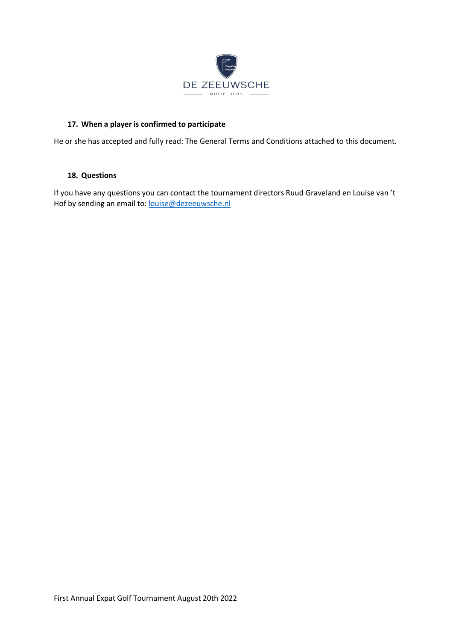

## **17. When a player is confirmed to participate**

He or she has accepted and fully read: The General Terms and Conditions attached to this document.

#### **18. Questions**

If you have any questions you can contact the tournament directors Ruud Graveland en Louise van 't Hof by sending an email to: [louise@dezeeuwsche.nl](mailto:louise@dezeeuwsche.nl)